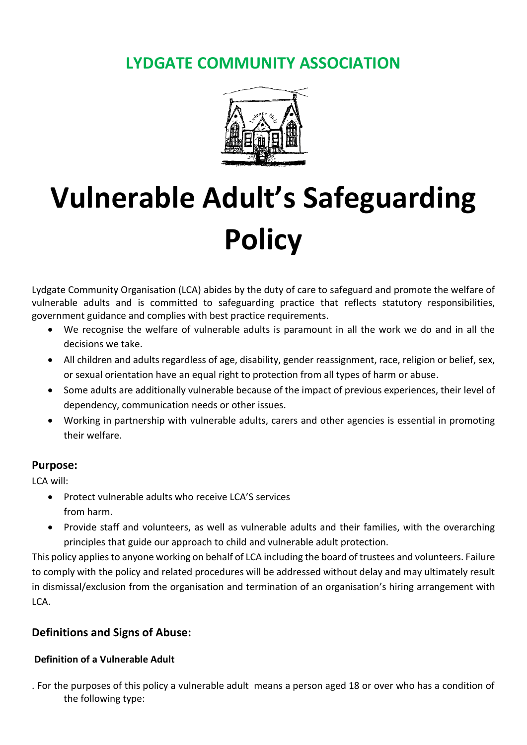# **LYDGATE COMMUNITY ASSOCIATION**



# **Vulnerable Adult's Safeguarding Policy**

Lydgate Community Organisation (LCA) abides by the duty of care to safeguard and promote the welfare of vulnerable adults and is committed to safeguarding practice that reflects statutory responsibilities, government guidance and complies with best practice requirements.

- We recognise the welfare of vulnerable adults is paramount in all the work we do and in all the decisions we take.
- All children and adults regardless of age, disability, gender reassignment, race, religion or belief, sex, or sexual orientation have an equal right to protection from all types of harm or abuse.
- Some adults are additionally vulnerable because of the impact of previous experiences, their level of dependency, communication needs or other issues.
- Working in partnership with vulnerable adults, carers and other agencies is essential in promoting their welfare.

#### **Purpose:**

LCA will:

- Protect vulnerable adults who receive LCA'S services from harm.
- Provide staff and volunteers, as well as vulnerable adults and their families, with the overarching principles that guide our approach to child and vulnerable adult protection.

This policy applies to anyone working on behalf of LCA including the board of trustees and volunteers. Failure to comply with the policy and related procedures will be addressed without delay and may ultimately result in dismissal/exclusion from the organisation and termination of an organisation's hiring arrangement with LCA.

# **Definitions and Signs of Abuse:**

# **Definition of a Vulnerable Adult**

. For the purposes of this policy a vulnerable adult means a person aged 18 or over who has a condition of the following type: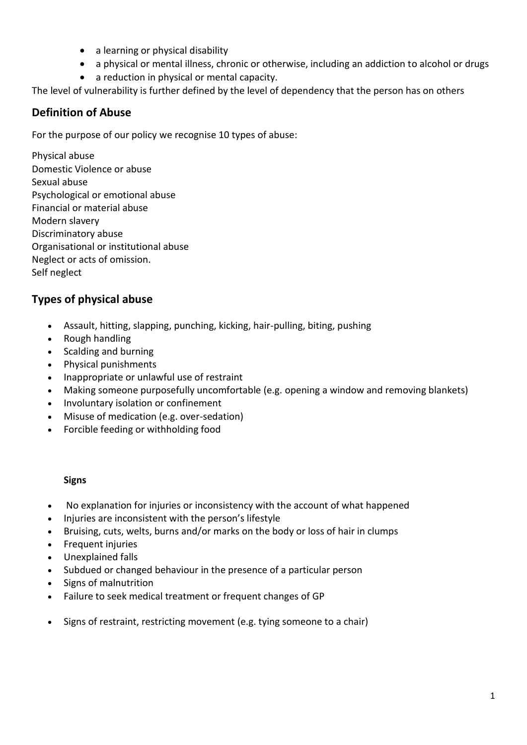- a learning or physical disability
- a physical or mental illness, chronic or otherwise, including an addiction to alcohol or drugs
- a reduction in physical or mental capacity.

The level of vulnerability is further defined by the level of dependency that the person has on others

# **Definition of Abuse**

For the purpose of our policy we recognise 10 types of abuse:

Physical abuse Domestic Violence or abuse Sexual abuse Psychological or emotional abuse Financial or material abuse Modern slavery Discriminatory abuse Organisational or institutional abuse Neglect or acts of omission. Self neglect

# **Types of physical abuse**

- Assault, hitting, slapping, punching, kicking, hair-pulling, biting, pushing
- Rough handling
- Scalding and burning
- Physical punishments
- Inappropriate or unlawful use of restraint
- Making someone purposefully uncomfortable (e.g. opening a window and removing blankets)
- Involuntary isolation or confinement
- Misuse of medication (e.g. over-sedation)
- Forcible feeding or withholding food

- No explanation for injuries or inconsistency with the account of what happened
- Injuries are inconsistent with the person's lifestyle
- Bruising, cuts, welts, burns and/or marks on the body or loss of hair in clumps
- Frequent injuries
- Unexplained falls
- Subdued or changed behaviour in the presence of a particular person
- Signs of malnutrition
- Failure to seek medical treatment or frequent changes of GP
- Signs of restraint, restricting movement (e.g. tying someone to a chair)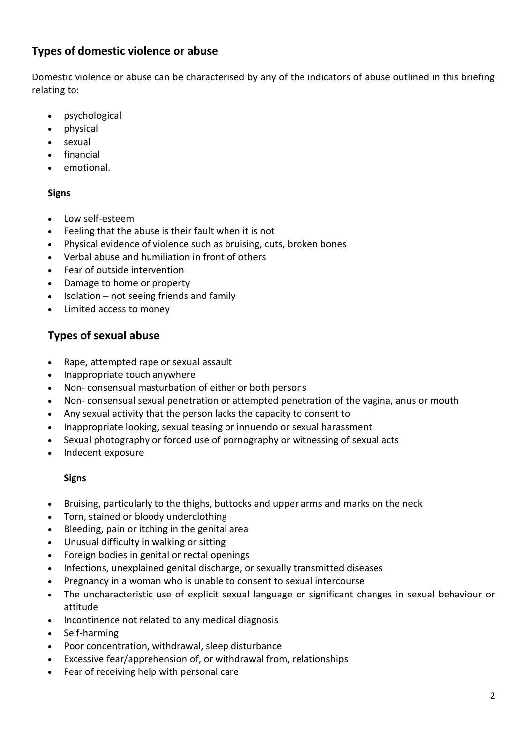# **Types of domestic violence or abuse**

Domestic violence or abuse can be characterised by any of the indicators of abuse outlined in this briefing relating to:

- psychological
- physical
- sexual
- financial
- emotional.

#### **Signs**

- Low self-esteem
- Feeling that the abuse is their fault when it is not
- Physical evidence of violence such as bruising, cuts, broken bones
- Verbal abuse and humiliation in front of others
- Fear of outside intervention
- Damage to home or property
- Isolation not seeing friends and family
- Limited access to money

# **Types of sexual abuse**

- Rape, attempted rape or sexual assault
- Inappropriate touch anywhere
- Non- consensual masturbation of either or both persons
- Non- consensual sexual penetration or attempted penetration of the vagina, anus or mouth
- Any sexual activity that the person lacks the capacity to consent to
- Inappropriate looking, sexual teasing or innuendo or sexual harassment
- Sexual photography or forced use of pornography or witnessing of sexual acts
- Indecent exposure

- Bruising, particularly to the thighs, buttocks and upper arms and marks on the neck
- Torn, stained or bloody underclothing
- Bleeding, pain or itching in the genital area
- Unusual difficulty in walking or sitting
- Foreign bodies in genital or rectal openings
- Infections, unexplained genital discharge, or sexually transmitted diseases
- Pregnancy in a woman who is unable to consent to sexual intercourse
- The uncharacteristic use of explicit sexual language or significant changes in sexual behaviour or attitude
- Incontinence not related to any medical diagnosis
- Self-harming
- Poor concentration, withdrawal, sleep disturbance
- Excessive fear/apprehension of, or withdrawal from, relationships
- Fear of receiving help with personal care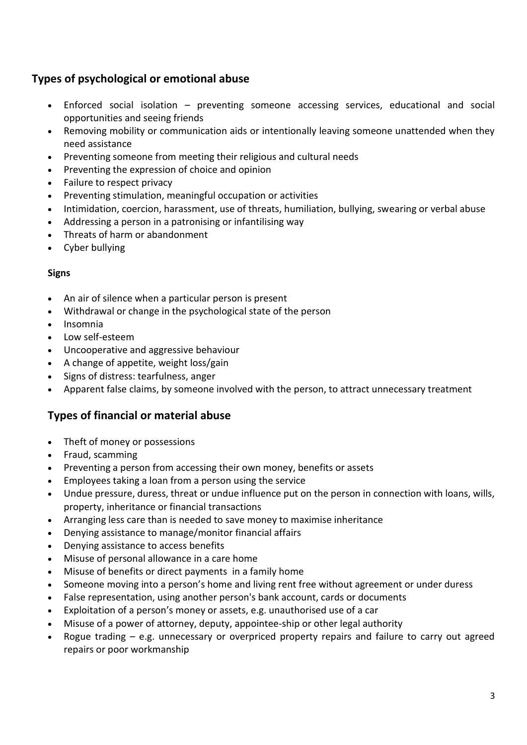# **Types of psychological or emotional abuse**

- Enforced social isolation preventing someone accessing services, educational and social opportunities and seeing friends
- Removing mobility or communication aids or intentionally leaving someone unattended when they need assistance
- Preventing someone from meeting their religious and cultural needs
- Preventing the expression of choice and opinion
- Failure to respect privacy
- Preventing stimulation, meaningful occupation or activities
- Intimidation, coercion, harassment, use of threats, humiliation, bullying, swearing or verbal abuse
- Addressing a person in a patronising or infantilising way
- Threats of harm or abandonment
- Cyber bullying

## **Signs**

- An air of silence when a particular person is present
- Withdrawal or change in the psychological state of the person
- Insomnia
- Low self-esteem
- Uncooperative and aggressive behaviour
- A change of appetite, weight loss/gain
- Signs of distress: tearfulness, anger
- Apparent false claims, by someone involved with the person, to attract unnecessary treatment

# **Types of financial or material abuse**

- Theft of money or possessions
- Fraud, scamming
- Preventing a person from accessing their own money, benefits or assets
- Employees taking a loan from a person using the service
- Undue pressure, duress, threat or undue influence put on the person in connection with loans, wills, property, inheritance or financial transactions
- Arranging less care than is needed to save money to maximise inheritance
- Denying assistance to manage/monitor financial affairs
- Denying assistance to access benefits
- Misuse of personal allowance in a care home
- Misuse of benefits or direct payments in a family home
- Someone moving into a person's home and living rent free without agreement or under duress
- False representation, using another person's bank account, cards or documents
- Exploitation of a person's money or assets, e.g. unauthorised use of a car
- Misuse of a power of attorney, deputy, appointee-ship or other legal authority
- Rogue trading  $-$  e.g. unnecessary or overpriced property repairs and failure to carry out agreed repairs or poor workmanship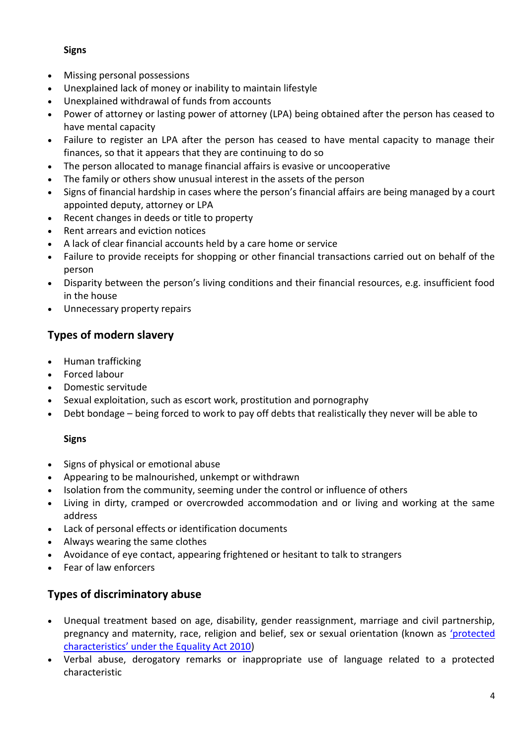## **Signs**

- Missing personal possessions
- Unexplained lack of money or inability to maintain lifestyle
- Unexplained withdrawal of funds from accounts
- Power of attorney or lasting power of attorney (LPA) being obtained after the person has ceased to have mental capacity
- Failure to register an LPA after the person has ceased to have mental capacity to manage their finances, so that it appears that they are continuing to do so
- The person allocated to manage financial affairs is evasive or uncooperative
- The family or others show unusual interest in the assets of the person
- Signs of financial hardship in cases where the person's financial affairs are being managed by a court appointed deputy, attorney or LPA
- Recent changes in deeds or title to property
- Rent arrears and eviction notices
- A lack of clear financial accounts held by a care home or service
- Failure to provide receipts for shopping or other financial transactions carried out on behalf of the person
- Disparity between the person's living conditions and their financial resources, e.g. insufficient food in the house
- Unnecessary property repairs

# **Types of modern slavery**

- Human trafficking
- Forced labour
- Domestic servitude
- Sexual exploitation, such as escort work, prostitution and pornography
- Debt bondage being forced to work to pay off debts that realistically they never will be able to

# **Signs**

- Signs of physical or emotional abuse
- Appearing to be malnourished, unkempt or withdrawn
- Isolation from the community, seeming under the control or influence of others
- Living in dirty, cramped or overcrowded accommodation and or living and working at the same address
- Lack of personal effects or identification documents
- Always wearing the same clothes
- Avoidance of eye contact, appearing frightened or hesitant to talk to strangers
- Fear of law enforcers

# **Types of discriminatory abuse**

- Unequal treatment based on age, disability, gender reassignment, marriage and civil partnership, pregnancy and maternity, race, religion and belief, sex or sexual orientation (known as ['protected](https://www.equalityhumanrights.com/en/equality-act/protected-characteristics)  [characteristics' under the Equality Act 2010](https://www.equalityhumanrights.com/en/equality-act/protected-characteristics))
- Verbal abuse, derogatory remarks or inappropriate use of language related to a protected characteristic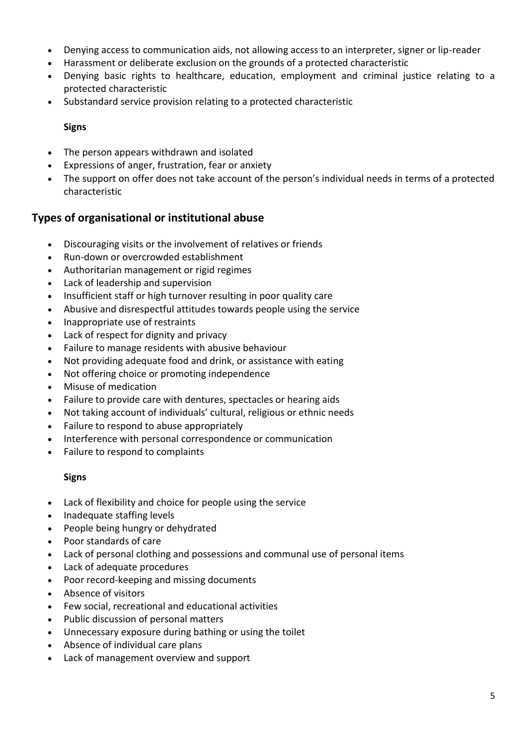- Denying access to communication aids, not allowing access to an interpreter, signer or lip-reader
- Harassment or deliberate exclusion on the grounds of a protected characteristic
- Denying basic rights to healthcare, education, employment and criminal justice relating to a protected characteristic
- Substandard service provision relating to a protected characteristic

#### **Signs**

- The person appears withdrawn and isolated
- Expressions of anger, frustration, fear or anxiety
- The support on offer does not take account of the person's individual needs in terms of a protected characteristic

# **Types of organisational or institutional abuse**

- Discouraging visits or the involvement of relatives or friends
- Run-down or overcrowded establishment
- Authoritarian management or rigid regimes
- Lack of leadership and supervision
- Insufficient staff or high turnover resulting in poor quality care
- Abusive and disrespectful attitudes towards people using the service
- Inappropriate use of restraints
- Lack of respect for dignity and privacy
- Failure to manage residents with abusive behaviour
- Not providing adequate food and drink, or assistance with eating
- Not offering choice or promoting independence
- Misuse of medication
- Failure to provide care with dentures, spectacles or hearing aids
- Not taking account of individuals' cultural, religious or ethnic needs
- Failure to respond to abuse appropriately
- Interference with personal correspondence or communication
- Failure to respond to complaints

- Lack of flexibility and choice for people using the service
- Inadequate staffing levels
- People being hungry or dehydrated
- Poor standards of care
- Lack of personal clothing and possessions and communal use of personal items
- Lack of adequate procedures
- Poor record-keeping and missing documents
- Absence of visitors
- Few social, recreational and educational activities
- Public discussion of personal matters
- Unnecessary exposure during bathing or using the toilet
- Absence of individual care plans
- Lack of management overview and support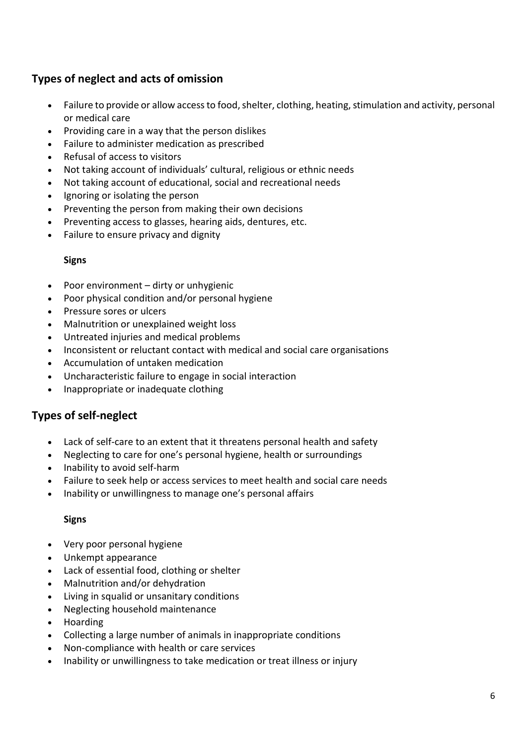# **Types of neglect and acts of omission**

- Failure to provide or allow access to food, shelter, clothing, heating, stimulation and activity, personal or medical care
- Providing care in a way that the person dislikes
- Failure to administer medication as prescribed
- Refusal of access to visitors
- Not taking account of individuals' cultural, religious or ethnic needs
- Not taking account of educational, social and recreational needs
- Ignoring or isolating the person
- Preventing the person from making their own decisions
- Preventing access to glasses, hearing aids, dentures, etc.
- Failure to ensure privacy and dignity

#### **Signs**

- Poor environment dirty or unhygienic
- Poor physical condition and/or personal hygiene
- Pressure sores or ulcers
- Malnutrition or unexplained weight loss
- Untreated injuries and medical problems
- Inconsistent or reluctant contact with medical and social care organisations
- Accumulation of untaken medication
- Uncharacteristic failure to engage in social interaction
- Inappropriate or inadequate clothing

# **Types of self-neglect**

- Lack of self-care to an extent that it threatens personal health and safety
- Neglecting to care for one's personal hygiene, health or surroundings
- Inability to avoid self-harm
- Failure to seek help or access services to meet health and social care needs
- Inability or unwillingness to manage one's personal affairs

- Very poor personal hygiene
- Unkempt appearance
- Lack of essential food, clothing or shelter
- Malnutrition and/or dehydration
- Living in squalid or unsanitary conditions
- Neglecting household maintenance
- Hoarding
- Collecting a large number of animals in inappropriate conditions
- Non-compliance with health or care services
- Inability or unwillingness to take medication or treat illness or injury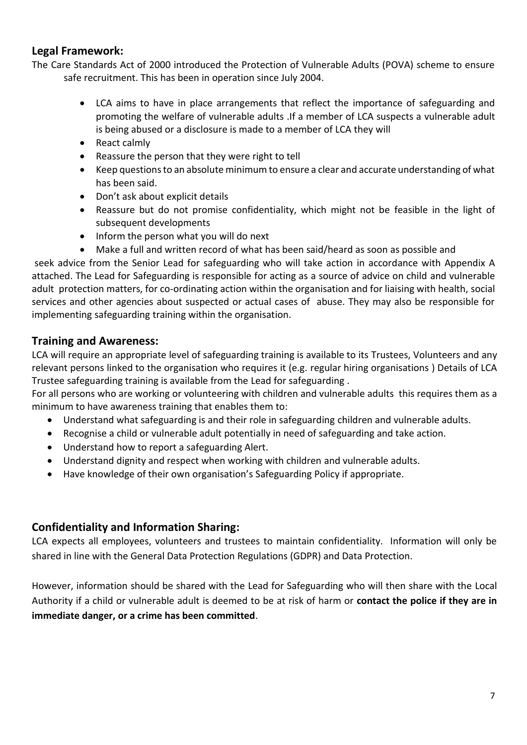# **Legal Framework:**

The Care Standards Act of 2000 introduced the Protection of Vulnerable Adults (POVA) scheme to ensure safe recruitment. This has been in operation since July 2004.

- LCA aims to have in place arrangements that reflect the importance of safeguarding and promoting the welfare of vulnerable adults .If a member of LCA suspects a vulnerable adult is being abused or a disclosure is made to a member of LCA they will
- React calmly
- Reassure the person that they were right to tell
- Keep questions to an absolute minimum to ensure a clear and accurate understanding of what has been said.
- Don't ask about explicit details
- Reassure but do not promise confidentiality, which might not be feasible in the light of subsequent developments
- Inform the person what you will do next
- Make a full and written record of what has been said/heard as soon as possible and

seek advice from the Senior Lead for safeguarding who will take action in accordance with Appendix A attached. The Lead for Safeguarding is responsible for acting as a source of advice on child and vulnerable adult protection matters, for co-ordinating action within the organisation and for liaising with health, social services and other agencies about suspected or actual cases of abuse. They may also be responsible for implementing safeguarding training within the organisation.

# **Training and Awareness:**

LCA will require an appropriate level of safeguarding training is available to its Trustees, Volunteers and any relevant persons linked to the organisation who requires it (e.g. regular hiring organisations ) Details of LCA Trustee safeguarding training is available from the Lead for safeguarding .

For all persons who are working or volunteering with children and vulnerable adults this requires them as a minimum to have awareness training that enables them to:

- Understand what safeguarding is and their role in safeguarding children and vulnerable adults.
- Recognise a child or vulnerable adult potentially in need of safeguarding and take action.
- Understand how to report a safeguarding Alert.
- Understand dignity and respect when working with children and vulnerable adults.
- Have knowledge of their own organisation's Safeguarding Policy if appropriate.

# **Confidentiality and Information Sharing:**

LCA expects all employees, volunteers and trustees to maintain confidentiality. Information will only be shared in line with the General Data Protection Regulations (GDPR) and Data Protection.

However, information should be shared with the Lead for Safeguarding who will then share with the Local Authority if a child or vulnerable adult is deemed to be at risk of harm or **contact the police if they are in immediate danger, or a crime has been committed**.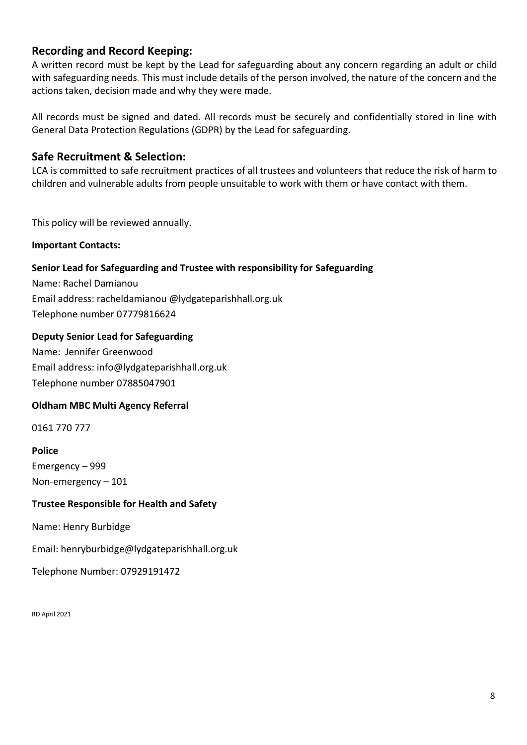# **Recording and Record Keeping:**

A written record must be kept by the Lead for safeguarding about any concern regarding an adult or child with safeguarding needs. This must include details of the person involved, the nature of the concern and the actions taken, decision made and why they were made.

All records must be signed and dated. All records must be securely and confidentially stored in line with General Data Protection Regulations (GDPR) by the Lead for safeguarding.

# **Safe Recruitment & Selection:**

LCA is committed to safe recruitment practices of all trustees and volunteers that reduce the risk of harm to children and vulnerable adults from people unsuitable to work with them or have contact with them.

This policy will be reviewed annually.

**Important Contacts:**

## **Senior Lead for Safeguarding and Trustee with responsibility for Safeguarding**

Name: Rachel Damianou Email address: racheldamianou @lydgateparishhall.org.uk Telephone number 07779816624

#### **Deputy Senior Lead for Safeguarding**

Name: Jennifer Greenwood Email address: info@lydgateparishhall.org.uk Telephone number 07885047901

#### **Oldham MBC Multi Agency Referral**

0161 770 777

#### **Police**

Emergency – 999 Non-emergency – 101

#### **Trustee Responsible for Health and Safety**

Name: Henry Burbidge

Email: henryburbidge@lydgateparishhall.org.uk

Telephone Number: 07929191472

RD April 2021